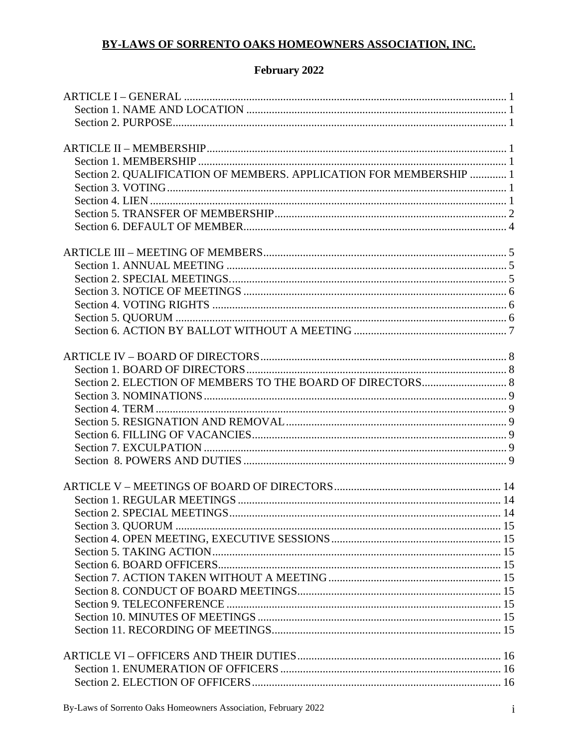# BY-LAWS OF SORRENTO OAKS HOMEOWNERS ASSOCIATION, INC.

## February 2022

| Section 2. QUALIFICATION OF MEMBERS. APPLICATION FOR MEMBERSHIP  1 |  |
|--------------------------------------------------------------------|--|
|                                                                    |  |
|                                                                    |  |
|                                                                    |  |
|                                                                    |  |
|                                                                    |  |
|                                                                    |  |
|                                                                    |  |
|                                                                    |  |
|                                                                    |  |
|                                                                    |  |
|                                                                    |  |
|                                                                    |  |
|                                                                    |  |
|                                                                    |  |
|                                                                    |  |
|                                                                    |  |
|                                                                    |  |
|                                                                    |  |
|                                                                    |  |
|                                                                    |  |
|                                                                    |  |
|                                                                    |  |
|                                                                    |  |
|                                                                    |  |
|                                                                    |  |
|                                                                    |  |
|                                                                    |  |
|                                                                    |  |
|                                                                    |  |
|                                                                    |  |
|                                                                    |  |
|                                                                    |  |
|                                                                    |  |
|                                                                    |  |
|                                                                    |  |
|                                                                    |  |
|                                                                    |  |
|                                                                    |  |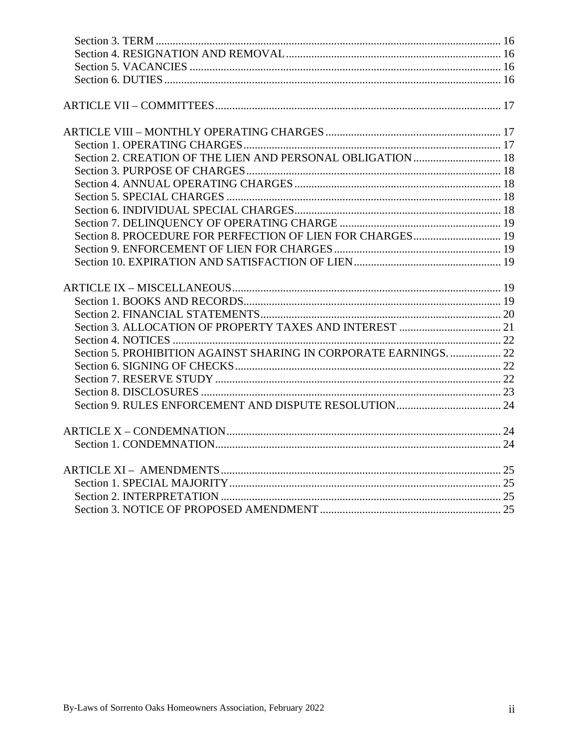| Section 5. PROHIBITION AGAINST SHARING IN CORPORATE EARNINGS.  22 |  |
|-------------------------------------------------------------------|--|
|                                                                   |  |
|                                                                   |  |
|                                                                   |  |
|                                                                   |  |
|                                                                   |  |
|                                                                   |  |
|                                                                   |  |
|                                                                   |  |
|                                                                   |  |
|                                                                   |  |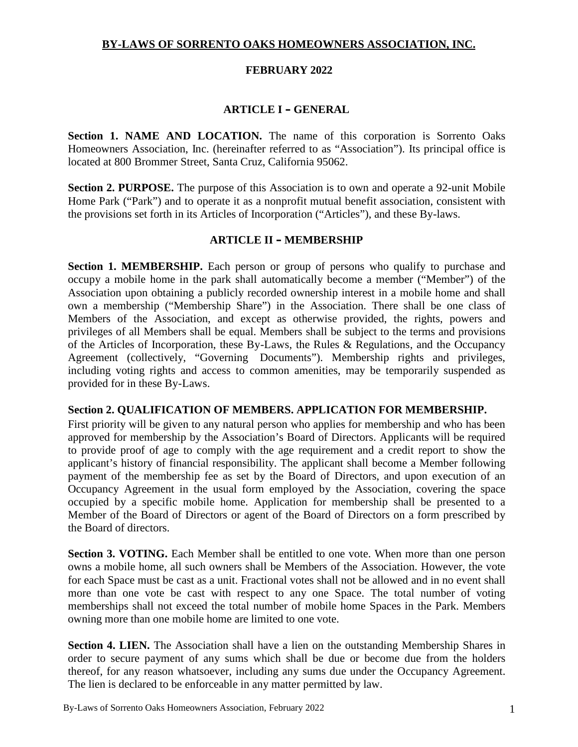## **BY-LAWS OF SORRENTO OAKS HOMEOWNERS ASSOCIATION, INC.**

#### **FEBRUARY 2022**

## **ARTICLE I – GENERAL**

**Section 1. NAME AND LOCATION.** The name of this corporation is Sorrento Oaks Homeowners Association, Inc. (hereinafter referred to as "Association"). Its principal office is located at 800 Brommer Street, Santa Cruz, California 95062.

**Section 2. PURPOSE.** The purpose of this Association is to own and operate a 92-unit Mobile Home Park ("Park") and to operate it as a nonprofit mutual benefit association, consistent with the provisions set forth in its Articles of Incorporation ("Articles"), and these By-laws.

#### **ARTICLE II – MEMBERSHIP**

**Section 1. MEMBERSHIP.** Each person or group of persons who qualify to purchase and occupy a mobile home in the park shall automatically become a member ("Member") of the Association upon obtaining a publicly recorded ownership interest in a mobile home and shall own a membership ("Membership Share") in the Association. There shall be one class of Members of the Association, and except as otherwise provided, the rights, powers and privileges of all Members shall be equal. Members shall be subject to the terms and provisions of the Articles of Incorporation, these By-Laws, the Rules & Regulations, and the Occupancy Agreement (collectively, "Governing Documents"). Membership rights and privileges, including voting rights and access to common amenities, may be temporarily suspended as provided for in these By-Laws.

#### **Section 2. QUALIFICATION OF MEMBERS. APPLICATION FOR MEMBERSHIP.**

First priority will be given to any natural person who applies for membership and who has been approved for membership by the Association's Board of Directors. Applicants will be required to provide proof of age to comply with the age requirement and a credit report to show the applicant's history of financial responsibility. The applicant shall become a Member following payment of the membership fee as set by the Board of Directors, and upon execution of an Occupancy Agreement in the usual form employed by the Association, covering the space occupied by a specific mobile home. Application for membership shall be presented to a Member of the Board of Directors or agent of the Board of Directors on a form prescribed by the Board of directors.

**Section 3. VOTING.** Each Member shall be entitled to one vote. When more than one person owns a mobile home, all such owners shall be Members of the Association. However, the vote for each Space must be cast as a unit. Fractional votes shall not be allowed and in no event shall more than one vote be cast with respect to any one Space. The total number of voting memberships shall not exceed the total number of mobile home Spaces in the Park. Members owning more than one mobile home are limited to one vote.

**Section 4. LIEN.** The Association shall have a lien on the outstanding Membership Shares in order to secure payment of any sums which shall be due or become due from the holders thereof, for any reason whatsoever, including any sums due under the Occupancy Agreement. The lien is declared to be enforceable in any matter permitted by law.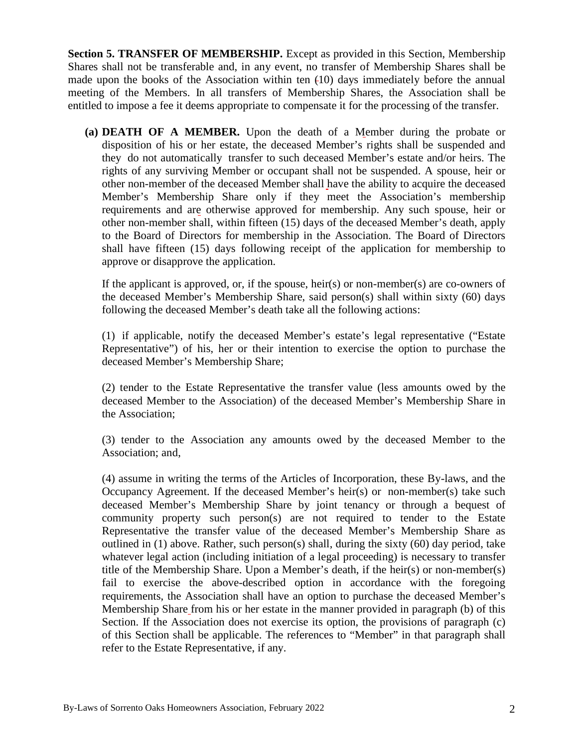**Section 5. TRANSFER OF MEMBERSHIP.** Except as provided in this Section, Membership Shares shall not be transferable and, in any event, no transfer of Membership Shares shall be made upon the books of the Association within ten (10) days immediately before the annual meeting of the Members. In all transfers of Membership Shares, the Association shall be entitled to impose a fee it deems appropriate to compensate it for the processing of the transfer.

**(a) DEATH OF A MEMBER.** Upon the death of a Member during the probate or disposition of his or her estate, the deceased Member's rights shall be suspended and they do not automatically transfer to such deceased Member's estate and/or heirs. The rights of any surviving Member or occupant shall not be suspended. A spouse, heir or other non-member of the deceased Member shall have the ability to acquire the deceased Member's Membership Share only if they meet the Association's membership requirements and are otherwise approved for membership. Any such spouse, heir or other non-member shall, within fifteen (15) days of the deceased Member's death, apply to the Board of Directors for membership in the Association. The Board of Directors shall have fifteen (15) days following receipt of the application for membership to approve or disapprove the application.

If the applicant is approved, or, if the spouse, heir(s) or non-member(s) are co-owners of the deceased Member's Membership Share, said person(s) shall within sixty (60) days following the deceased Member's death take all the following actions:

(1) if applicable, notify the deceased Member's estate's legal representative ("Estate Representative") of his, her or their intention to exercise the option to purchase the deceased Member's Membership Share;

(2) tender to the Estate Representative the transfer value (less amounts owed by the deceased Member to the Association) of the deceased Member's Membership Share in the Association;

(3) tender to the Association any amounts owed by the deceased Member to the Association; and,

(4) assume in writing the terms of the Articles of Incorporation, these By-laws, and the Occupancy Agreement. If the deceased Member's heir(s) or non-member(s) take such deceased Member's Membership Share by joint tenancy or through a bequest of community property such person(s) are not required to tender to the Estate Representative the transfer value of the deceased Member's Membership Share as outlined in (1) above. Rather, such person(s) shall, during the sixty (60) day period, take whatever legal action (including initiation of a legal proceeding) is necessary to transfer title of the Membership Share. Upon a Member's death, if the heir(s) or non-member(s) fail to exercise the above-described option in accordance with the foregoing requirements, the Association shall have an option to purchase the deceased Member's Membership Share from his or her estate in the manner provided in paragraph (b) of this Section. If the Association does not exercise its option, the provisions of paragraph (c) of this Section shall be applicable. The references to "Member" in that paragraph shall refer to the Estate Representative, if any.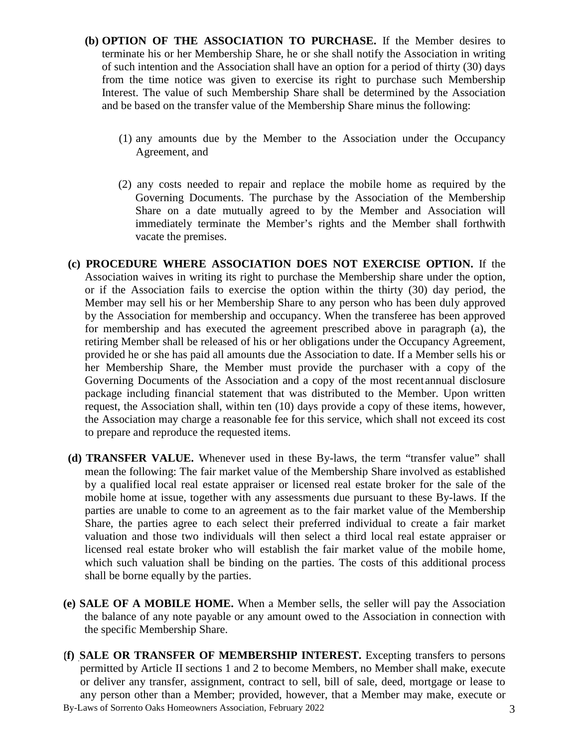- **(b) OPTION OF THE ASSOCIATION TO PURCHASE.** If the Member desires to terminate his or her Membership Share, he or she shall notify the Association in writing of such intention and the Association shall have an option for a period of thirty (30) days from the time notice was given to exercise its right to purchase such Membership Interest. The value of such Membership Share shall be determined by the Association and be based on the transfer value of the Membership Share minus the following:
	- (1) any amounts due by the Member to the Association under the Occupancy Agreement, and
	- (2) any costs needed to repair and replace the mobile home as required by the Governing Documents. The purchase by the Association of the Membership Share on a date mutually agreed to by the Member and Association will immediately terminate the Member's rights and the Member shall forthwith vacate the premises.
- **(c) PROCEDURE WHERE ASSOCIATION DOES NOT EXERCISE OPTION.** If the Association waives in writing its right to purchase the Membership share under the option, or if the Association fails to exercise the option within the thirty (30) day period, the Member may sell his or her Membership Share to any person who has been duly approved by the Association for membership and occupancy. When the transferee has been approved for membership and has executed the agreement prescribed above in paragraph (a), the retiring Member shall be released of his or her obligations under the Occupancy Agreement, provided he or she has paid all amounts due the Association to date. If a Member sells his or her Membership Share, the Member must provide the purchaser with a copy of the Governing Documents of the Association and a copy of the most recent annual disclosure package including financial statement that was distributed to the Member. Upon written request, the Association shall, within ten (10) days provide a copy of these items, however, the Association may charge a reasonable fee for this service, which shall not exceed its cost to prepare and reproduce the requested items.
- **(d) TRANSFER VALUE.** Whenever used in these By-laws, the term "transfer value" shall mean the following: The fair market value of the Membership Share involved as established by a qualified local real estate appraiser or licensed real estate broker for the sale of the mobile home at issue, together with any assessments due pursuant to these By-laws. If the parties are unable to come to an agreement as to the fair market value of the Membership Share, the parties agree to each select their preferred individual to create a fair market valuation and those two individuals will then select a third local real estate appraiser or licensed real estate broker who will establish the fair market value of the mobile home, which such valuation shall be binding on the parties. The costs of this additional process shall be borne equally by the parties.
- **(e) SALE OF A MOBILE HOME.** When a Member sells, the seller will pay the Association the balance of any note payable or any amount owed to the Association in connection with the specific Membership Share.
- By-Laws of Sorrento Oaks Homeowners Association, February 2022 3 **(f) SALE OR TRANSFER OF MEMBERSHIP INTEREST.** Excepting transfers to persons permitted by Article II sections 1 and 2 to become Members, no Member shall make, execute or deliver any transfer, assignment, contract to sell, bill of sale, deed, mortgage or lease to any person other than a Member; provided, however, that a Member may make, execute or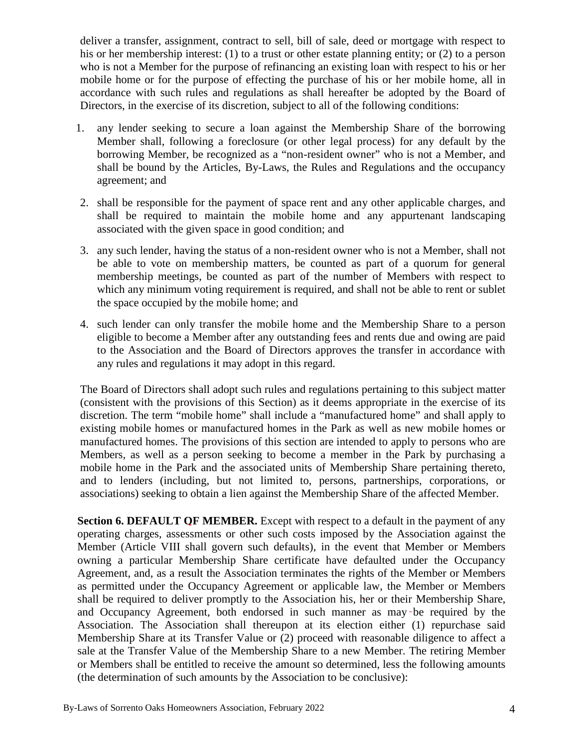deliver a transfer, assignment, contract to sell, bill of sale, deed or mortgage with respect to his or her membership interest: (1) to a trust or other estate planning entity; or (2) to a person who is not a Member for the purpose of refinancing an existing loan with respect to his or her mobile home or for the purpose of effecting the purchase of his or her mobile home, all in accordance with such rules and regulations as shall hereafter be adopted by the Board of Directors, in the exercise of its discretion, subject to all of the following conditions:

- 1. any lender seeking to secure a loan against the Membership Share of the borrowing Member shall, following a foreclosure (or other legal process) for any default by the borrowing Member, be recognized as a "non-resident owner" who is not a Member, and shall be bound by the Articles, By-Laws, the Rules and Regulations and the occupancy agreement; and
- 2. shall be responsible for the payment of space rent and any other applicable charges, and shall be required to maintain the mobile home and any appurtenant landscaping associated with the given space in good condition; and
- 3. any such lender, having the status of a non-resident owner who is not a Member, shall not be able to vote on membership matters, be counted as part of a quorum for general membership meetings, be counted as part of the number of Members with respect to which any minimum voting requirement is required, and shall not be able to rent or sublet the space occupied by the mobile home; and
- 4. such lender can only transfer the mobile home and the Membership Share to a person eligible to become a Member after any outstanding fees and rents due and owing are paid to the Association and the Board of Directors approves the transfer in accordance with any rules and regulations it may adopt in this regard.

The Board of Directors shall adopt such rules and regulations pertaining to this subject matter (consistent with the provisions of this Section) as it deems appropriate in the exercise of its discretion. The term "mobile home" shall include a "manufactured home" and shall apply to existing mobile homes or manufactured homes in the Park as well as new mobile homes or manufactured homes. The provisions of this section are intended to apply to persons who are Members, as well as a person seeking to become a member in the Park by purchasing a mobile home in the Park and the associated units of Membership Share pertaining thereto, and to lenders (including, but not limited to, persons, partnerships, corporations, or associations) seeking to obtain a lien against the Membership Share of the affected Member.

**Section 6. DEFAULT OF MEMBER.** Except with respect to a default in the payment of any operating charges, assessments or other such costs imposed by the Association against the Member (Article VIII shall govern such defaults), in the event that Member or Members owning a particular Membership Share certificate have defaulted under the Occupancy Agreement, and, as a result the Association terminates the rights of the Member or Members as permitted under the Occupancy Agreement or applicable law, the Member or Members shall be required to deliver promptly to the Association his, her or their Membership Share, and Occupancy Agreement, both endorsed in such manner as may be required by the Association. The Association shall thereupon at its election either (1) repurchase said Membership Share at its Transfer Value or (2) proceed with reasonable diligence to affect a sale at the Transfer Value of the Membership Share to a new Member. The retiring Member or Members shall be entitled to receive the amount so determined, less the following amounts (the determination of such amounts by the Association to be conclusive):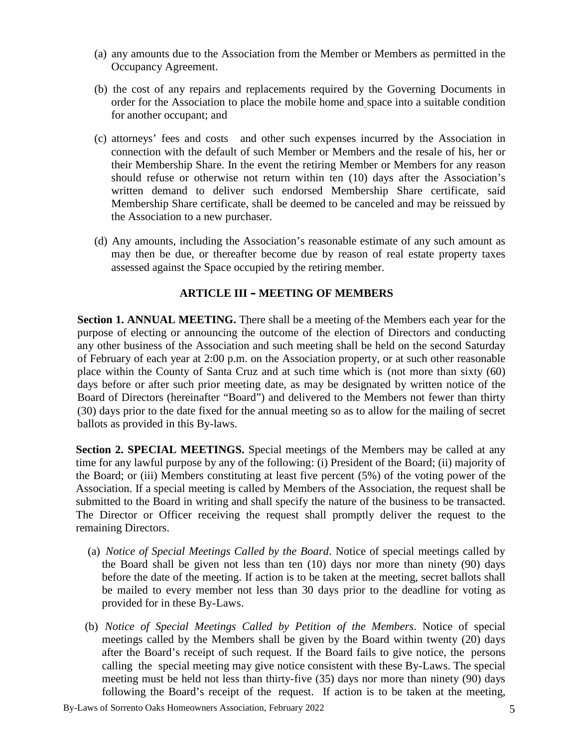- (a) any amounts due to the Association from the Member or Members as permitted in the Occupancy Agreement.
- (b) the cost of any repairs and replacements required by the Governing Documents in order for the Association to place the mobile home and space into a suitable condition for another occupant; and
- (c) attorneys' fees and costs and other such expenses incurred by the Association in connection with the default of such Member or Members and the resale of his, her or their Membership Share. In the event the retiring Member or Members for any reason should refuse or otherwise not return within ten (10) days after the Association's written demand to deliver such endorsed Membership Share certificate, said Membership Share certificate, shall be deemed to be canceled and may be reissued by the Association to a new purchaser.
- (d) Any amounts, including the Association's reasonable estimate of any such amount as may then be due, or thereafter become due by reason of real estate property taxes assessed against the Space occupied by the retiring member.

#### **ARTICLE III – MEETING OF MEMBERS**

**Section 1. ANNUAL MEETING.** There shall be a meeting of the Members each year for the purpose of electing or announcing the outcome of the election of Directors and conducting any other business of the Association and such meeting shall be held on the second Saturday of February of each year at 2:00 p.m. on the Association property, or at such other reasonable place within the County of Santa Cruz and at such time which is (not more than sixty (60) days before or after such prior meeting date, as may be designated by written notice of the Board of Directors (hereinafter "Board") and delivered to the Members not fewer than thirty (30) days prior to the date fixed for the annual meeting so as to allow for the mailing of secret ballots as provided in this By-laws.

**Section 2. SPECIAL MEETINGS.** Special meetings of the Members may be called at any time for any lawful purpose by any of the following: (i) President of the Board; (ii) majority of the Board; or (iii) Members constituting at least five percent (5%) of the voting power of the Association. If a special meeting is called by Members of the Association, the request shall be submitted to the Board in writing and shall specify the nature of the business to be transacted. The Director or Officer receiving the request shall promptly deliver the request to the remaining Directors.

- (a) *Notice of Special Meetings Called by the Board*. Notice of special meetings called by the Board shall be given not less than ten (10) days nor more than ninety (90) days before the date of the meeting. If action is to be taken at the meeting, secret ballots shall be mailed to every member not less than 30 days prior to the deadline for voting as provided for in these By-Laws.
- (b) *Notice of Special Meetings Called by Petition of the Members*. Notice of special meetings called by the Members shall be given by the Board within twenty (20) days after the Board's receipt of such request. If the Board fails to give notice, the persons calling the special meeting may give notice consistent with these By-Laws. The special meeting must be held not less than thirty-five (35) days nor more than ninety (90) days following the Board's receipt of the request. If action is to be taken at the meeting,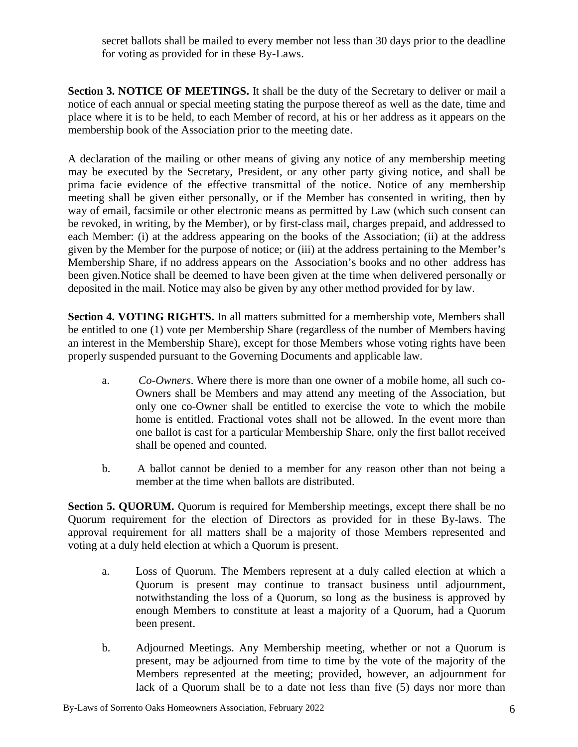secret ballots shall be mailed to every member not less than 30 days prior to the deadline for voting as provided for in these By-Laws.

**Section 3. NOTICE OF MEETINGS.** It shall be the duty of the Secretary to deliver or mail a notice of each annual or special meeting stating the purpose thereof as well as the date, time and place where it is to be held, to each Member of record, at his or her address as it appears on the membership book of the Association prior to the meeting date.

A declaration of the mailing or other means of giving any notice of any membership meeting may be executed by the Secretary, President, or any other party giving notice, and shall be prima facie evidence of the effective transmittal of the notice. Notice of any membership meeting shall be given either personally, or if the Member has consented in writing, then by way of email, facsimile or other electronic means as permitted by Law (which such consent can be revoked, in writing, by the Member), or by first-class mail, charges prepaid, and addressed to each Member: (i) at the address appearing on the books of the Association; (ii) at the address given by the Member for the purpose of notice; or (iii) at the address pertaining to the Member's Membership Share, if no address appears on the Association's books and no other address has been given.Notice shall be deemed to have been given at the time when delivered personally or deposited in the mail. Notice may also be given by any other method provided for by law.

**Section 4. VOTING RIGHTS.** In all matters submitted for a membership vote, Members shall be entitled to one (1) vote per Membership Share (regardless of the number of Members having an interest in the Membership Share), except for those Members whose voting rights have been properly suspended pursuant to the Governing Documents and applicable law.

- a. *Co-Owners*. Where there is more than one owner of a mobile home, all such co- Owners shall be Members and may attend any meeting of the Association, but only one co-Owner shall be entitled to exercise the vote to which the mobile home is entitled. Fractional votes shall not be allowed. In the event more than one ballot is cast for a particular Membership Share, only the first ballot received shall be opened and counted.
- b. A ballot cannot be denied to a member for any reason other than not being a member at the time when ballots are distributed.

**Section 5. QUORUM.** Quorum is required for Membership meetings, except there shall be no Quorum requirement for the election of Directors as provided for in these By-laws. The approval requirement for all matters shall be a majority of those Members represented and voting at a duly held election at which a Quorum is present.

- a. Loss of Quorum. The Members represent at a duly called election at which a Quorum is present may continue to transact business until adjournment, notwithstanding the loss of a Quorum, so long as the business is approved by enough Members to constitute at least a majority of a Quorum, had a Quorum been present.
- b. Adjourned Meetings. Any Membership meeting, whether or not a Quorum is present, may be adjourned from time to time by the vote of the majority of the Members represented at the meeting; provided, however, an adjournment for lack of a Quorum shall be to a date not less than five (5) days nor more than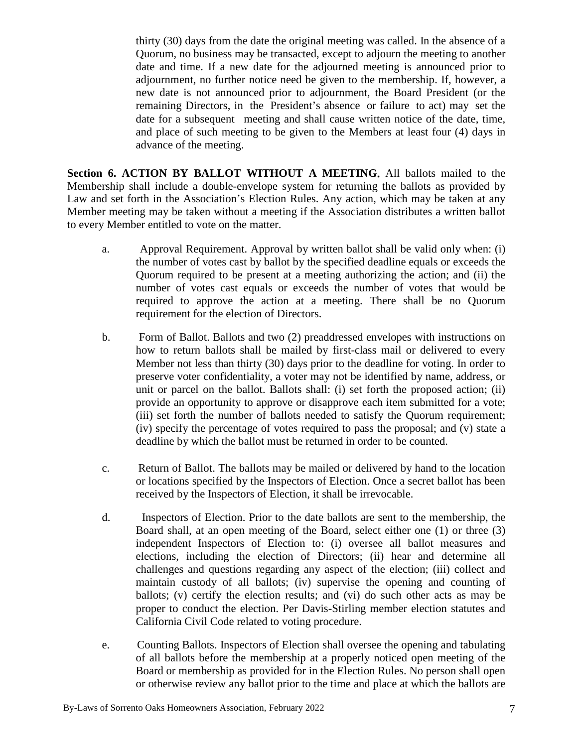thirty (30) days from the date the original meeting was called. In the absence of a Quorum, no business may be transacted, except to adjourn the meeting to another date and time. If a new date for the adjourned meeting is announced prior to adjournment, no further notice need be given to the membership. If, however, a new date is not announced prior to adjournment, the Board President (or the remaining Directors, in the President's absence or failure to act) may set the date for a subsequent meeting and shall cause written notice of the date, time, and place of such meeting to be given to the Members at least four (4) days in advance of the meeting.

**Section 6. ACTION BY BALLOT WITHOUT A MEETING.** All ballots mailed to the Membership shall include a double-envelope system for returning the ballots as provided by Law and set forth in the Association's Election Rules. Any action, which may be taken at any Member meeting may be taken without a meeting if the Association distributes a written ballot to every Member entitled to vote on the matter.

- a. Approval Requirement. Approval by written ballot shall be valid only when: (i) the number of votes cast by ballot by the specified deadline equals or exceeds the Quorum required to be present at a meeting authorizing the action; and (ii) the number of votes cast equals or exceeds the number of votes that would be required to approve the action at a meeting. There shall be no Quorum requirement for the election of Directors.
- b. Form of Ballot. Ballots and two (2) preaddressed envelopes with instructions on how to return ballots shall be mailed by first-class mail or delivered to every Member not less than thirty (30) days prior to the deadline for voting. In order to preserve voter confidentiality, a voter may not be identified by name, address, or unit or parcel on the ballot. Ballots shall: (i) set forth the proposed action; (ii) provide an opportunity to approve or disapprove each item submitted for a vote; (iii) set forth the number of ballots needed to satisfy the Quorum requirement; (iv) specify the percentage of votes required to pass the proposal; and (v) state a deadline by which the ballot must be returned in order to be counted.
- c. Return of Ballot. The ballots may be mailed or delivered by hand to the location or locations specified by the Inspectors of Election. Once a secret ballot has been received by the Inspectors of Election, it shall be irrevocable.
- d. Inspectors of Election. Prior to the date ballots are sent to the membership, the Board shall, at an open meeting of the Board, select either one (1) or three (3) independent Inspectors of Election to: (i) oversee all ballot measures and elections, including the election of Directors; (ii) hear and determine all challenges and questions regarding any aspect of the election; (iii) collect and maintain custody of all ballots; (iv) supervise the opening and counting of ballots; (v) certify the election results; and (vi) do such other acts as may be proper to conduct the election. Per Davis-Stirling member election statutes and California Civil Code related to voting procedure.
- e. Counting Ballots. Inspectors of Election shall oversee the opening and tabulating of all ballots before the membership at a properly noticed open meeting of the Board or membership as provided for in the Election Rules. No person shall open or otherwise review any ballot prior to the time and place at which the ballots are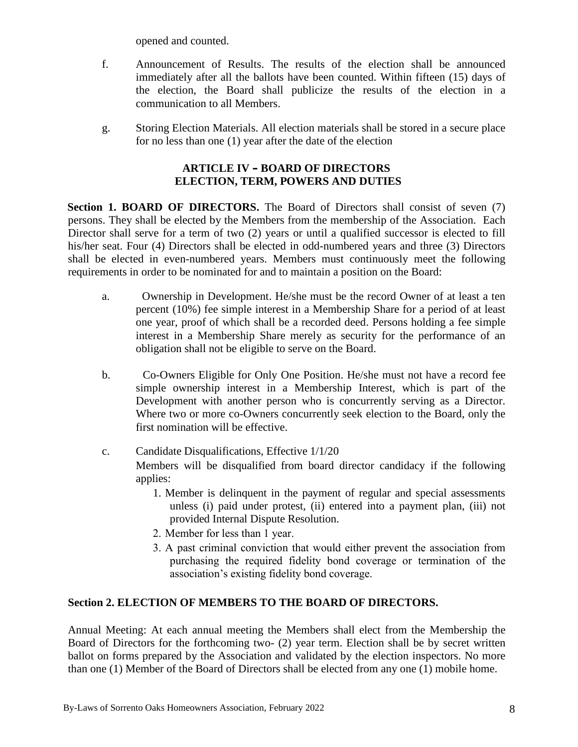opened and counted.

- f. Announcement of Results. The results of the election shall be announced immediately after all the ballots have been counted. Within fifteen (15) days of the election, the Board shall publicize the results of the election in a communication to all Members.
- g. Storing Election Materials. All election materials shall be stored in a secure place for no less than one (1) year after the date of the election

## **ARTICLE IV – BOARD OF DIRECTORS ELECTION, TERM, POWERS AND DUTIES**

**Section 1. BOARD OF DIRECTORS.** The Board of Directors shall consist of seven (7) persons. They shall be elected by the Members from the membership of the Association. Each Director shall serve for a term of two (2) years or until a qualified successor is elected to fill his/her seat. Four (4) Directors shall be elected in odd-numbered years and three (3) Directors shall be elected in even-numbered years. Members must continuously meet the following requirements in order to be nominated for and to maintain a position on the Board:

- a. Ownership in Development. He/she must be the record Owner of at least a ten percent (10%) fee simple interest in a Membership Share for a period of at least one year, proof of which shall be a recorded deed. Persons holding a fee simple interest in a Membership Share merely as security for the performance of an obligation shall not be eligible to serve on the Board.
- b. Co-Owners Eligible for Only One Position. He/she must not have a record fee simple ownership interest in a Membership Interest, which is part of the Development with another person who is concurrently serving as a Director. Where two or more co-Owners concurrently seek election to the Board, only the first nomination will be effective.
- c. Candidate Disqualifications, Effective 1/1/20 Members will be disqualified from board director candidacy if the following applies:
	- 1. Member is delinquent in the payment of regular and special assessments unless (i) paid under protest, (ii) entered into a payment plan, (iii) not provided Internal Dispute Resolution.
	- 2. Member for less than 1 year.
	- 3. A past criminal conviction that would either prevent the association from purchasing the required fidelity bond coverage or termination of the association's existing fidelity bond coverage.

## **Section 2. ELECTION OF MEMBERS TO THE BOARD OF DIRECTORS.**

Annual Meeting: At each annual meeting the Members shall elect from the Membership the Board of Directors for the forthcoming two- (2) year term. Election shall be by secret written ballot on forms prepared by the Association and validated by the election inspectors. No more than one (1) Member of the Board of Directors shall be elected from any one (1) mobile home.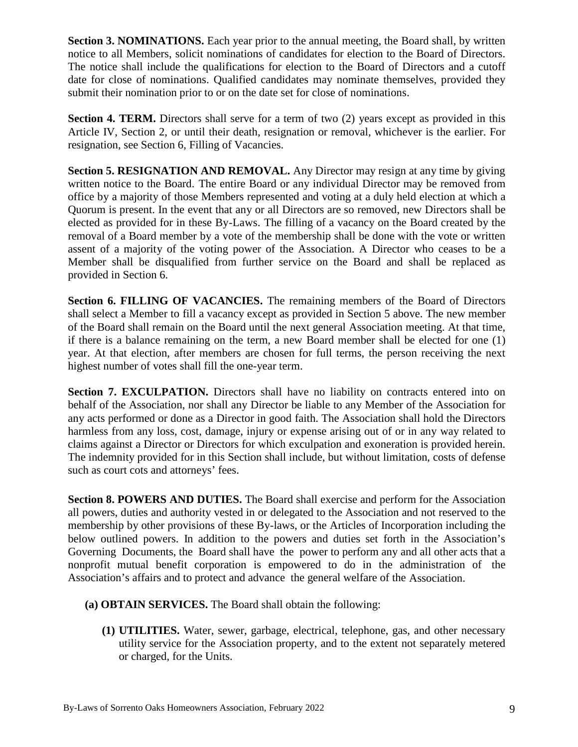**Section 3. NOMINATIONS.** Each year prior to the annual meeting, the Board shall, by written notice to all Members, solicit nominations of candidates for election to the Board of Directors. The notice shall include the qualifications for election to the Board of Directors and a cutoff date for close of nominations. Qualified candidates may nominate themselves, provided they submit their nomination prior to or on the date set for close of nominations.

**Section 4. TERM.** Directors shall serve for a term of two (2) years except as provided in this Article IV, Section 2, or until their death, resignation or removal, whichever is the earlier. For resignation, see Section 6, Filling of Vacancies.

**Section 5. RESIGNATION AND REMOVAL.** Any Director may resign at any time by giving written notice to the Board. The entire Board or any individual Director may be removed from office by a majority of those Members represented and voting at a duly held election at which a Quorum is present. In the event that any or all Directors are so removed, new Directors shall be elected as provided for in these By-Laws. The filling of a vacancy on the Board created by the removal of a Board member by a vote of the membership shall be done with the vote or written assent of a majority of the voting power of the Association. A Director who ceases to be a Member shall be disqualified from further service on the Board and shall be replaced as provided in Section 6.

**Section 6. FILLING OF VACANCIES.** The remaining members of the Board of Directors shall select a Member to fill a vacancy except as provided in Section 5 above. The new member of the Board shall remain on the Board until the next general Association meeting. At that time, if there is a balance remaining on the term, a new Board member shall be elected for one (1) year. At that election, after members are chosen for full terms, the person receiving the next highest number of votes shall fill the one-year term.

**Section 7. EXCULPATION.** Directors shall have no liability on contracts entered into on behalf of the Association, nor shall any Director be liable to any Member of the Association for any acts performed or done as a Director in good faith. The Association shall hold the Directors harmless from any loss, cost, damage, injury or expense arising out of or in any way related to claims against a Director or Directors for which exculpation and exoneration is provided herein. The indemnity provided for in this Section shall include, but without limitation, costs of defense such as court cots and attorneys' fees.

**Section 8. POWERS AND DUTIES.** The Board shall exercise and perform for the Association all powers, duties and authority vested in or delegated to the Association and not reserved to the membership by other provisions of these By-laws, or the Articles of Incorporation including the below outlined powers. In addition to the powers and duties set forth in the Association's Governing Documents, the Board shall have the power to perform any and all other acts that a nonprofit mutual benefit corporation is empowered to do in the administration of the Association's affairs and to protect and advance the general welfare of the Association.

- **(a) OBTAIN SERVICES.** The Board shall obtain the following:
	- **(1) UTILITIES.** Water, sewer, garbage, electrical, telephone, gas, and other necessary utility service for the Association property, and to the extent not separately metered or charged, for the Units.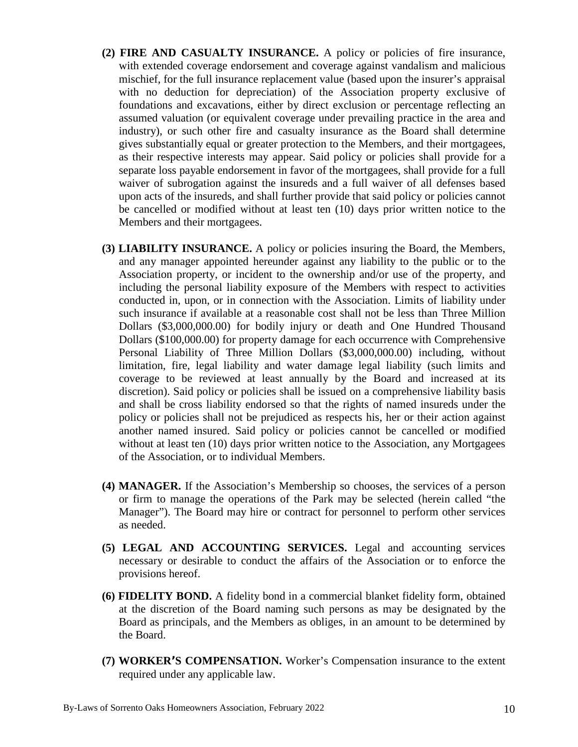- **(2) FIRE AND CASUALTY INSURANCE.** A policy or policies of fire insurance, with extended coverage endorsement and coverage against vandalism and malicious mischief, for the full insurance replacement value (based upon the insurer's appraisal with no deduction for depreciation) of the Association property exclusive of foundations and excavations, either by direct exclusion or percentage reflecting an assumed valuation (or equivalent coverage under prevailing practice in the area and industry), or such other fire and casualty insurance as the Board shall determine gives substantially equal or greater protection to the Members, and their mortgagees, as their respective interests may appear. Said policy or policies shall provide for a separate loss payable endorsement in favor of the mortgagees, shall provide for a full waiver of subrogation against the insureds and a full waiver of all defenses based upon acts of the insureds, and shall further provide that said policy or policies cannot be cancelled or modified without at least ten (10) days prior written notice to the Members and their mortgagees.
- **(3) LIABILITY INSURANCE.** A policy or policies insuring the Board, the Members, and any manager appointed hereunder against any liability to the public or to the Association property, or incident to the ownership and/or use of the property, and including the personal liability exposure of the Members with respect to activities conducted in, upon, or in connection with the Association. Limits of liability under such insurance if available at a reasonable cost shall not be less than Three Million Dollars (\$3,000,000.00) for bodily injury or death and One Hundred Thousand Dollars (\$100,000.00) for property damage for each occurrence with Comprehensive Personal Liability of Three Million Dollars (\$3,000,000.00) including, without limitation, fire, legal liability and water damage legal liability (such limits and coverage to be reviewed at least annually by the Board and increased at its discretion). Said policy or policies shall be issued on a comprehensive liability basis and shall be cross liability endorsed so that the rights of named insureds under the policy or policies shall not be prejudiced as respects his, her or their action against another named insured. Said policy or policies cannot be cancelled or modified without at least ten (10) days prior written notice to the Association, any Mortgagees of the Association, or to individual Members.
- **(4) MANAGER.** If the Association's Membership so chooses, the services of a person or firm to manage the operations of the Park may be selected (herein called "the Manager"). The Board may hire or contract for personnel to perform other services as needed.
- **(5) LEGAL AND ACCOUNTING SERVICES.** Legal and accounting services necessary or desirable to conduct the affairs of the Association or to enforce the provisions hereof.
- **(6) FIDELITY BOND.** A fidelity bond in a commercial blanket fidelity form, obtained at the discretion of the Board naming such persons as may be designated by the Board as principals, and the Members as obliges, in an amount to be determined by the Board.
- **(7) WORKER'S COMPENSATION.** Worker's Compensation insurance to the extent required under any applicable law.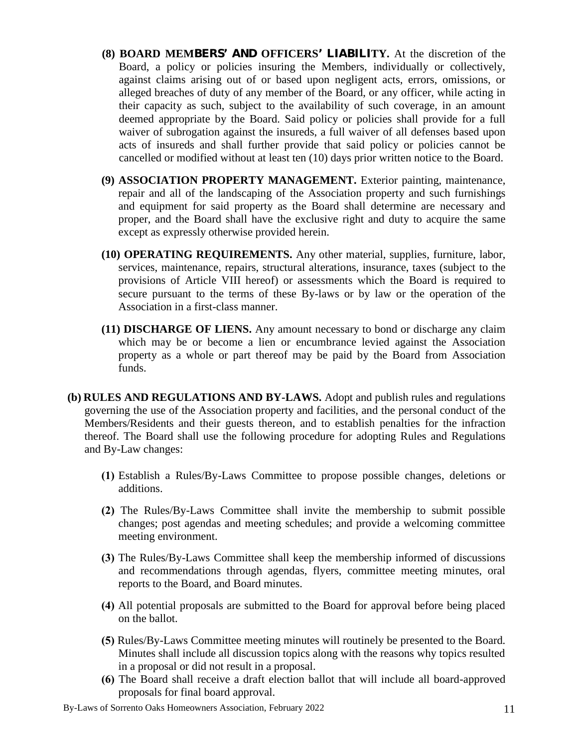- **(8) BOARD MEMBERS' AND OFFICERS' LIABILITY.** At the discretion of the Board, a policy or policies insuring the Members, individually or collectively, against claims arising out of or based upon negligent acts, errors, omissions, or alleged breaches of duty of any member of the Board, or any officer, while acting in their capacity as such, subject to the availability of such coverage, in an amount deemed appropriate by the Board. Said policy or policies shall provide for a full waiver of subrogation against the insureds, a full waiver of all defenses based upon acts of insureds and shall further provide that said policy or policies cannot be cancelled or modified without at least ten (10) days prior written notice to the Board.
- **(9) ASSOCIATION PROPERTY MANAGEMENT.** Exterior painting, maintenance, repair and all of the landscaping of the Association property and such furnishings and equipment for said property as the Board shall determine are necessary and proper, and the Board shall have the exclusive right and duty to acquire the same except as expressly otherwise provided herein.
- **(10) OPERATING REQUIREMENTS.** Any other material, supplies, furniture, labor, services, maintenance, repairs, structural alterations, insurance, taxes (subject to the provisions of Article VIII hereof) or assessments which the Board is required to secure pursuant to the terms of these By-laws or by law or the operation of the Association in a first-class manner.
- **(11) DISCHARGE OF LIENS.** Any amount necessary to bond or discharge any claim which may be or become a lien or encumbrance levied against the Association property as a whole or part thereof may be paid by the Board from Association funds.
- **(b) RULES AND REGULATIONS AND BY-LAWS.** Adopt and publish rules and regulations governing the use of the Association property and facilities, and the personal conduct of the Members/Residents and their guests thereon, and to establish penalties for the infraction thereof. The Board shall use the following procedure for adopting Rules and Regulations and By-Law changes:
	- **(1)** Establish a Rules/By-Laws Committee to propose possible changes, deletions or additions.
	- **(2)** The Rules/By-Laws Committee shall invite the membership to submit possible changes; post agendas and meeting schedules; and provide a welcoming committee meeting environment.
	- **(3)** The Rules/By-Laws Committee shall keep the membership informed of discussions and recommendations through agendas, flyers, committee meeting minutes, oral reports to the Board, and Board minutes.
	- **(4)** All potential proposals are submitted to the Board for approval before being placed on the ballot.
	- **(5)** Rules/By-Laws Committee meeting minutes will routinely be presented to the Board. Minutes shall include all discussion topics along with the reasons why topics resulted in a proposal or did not result in a proposal.
	- **(6)** The Board shall receive a draft election ballot that will include all board-approved proposals for final board approval.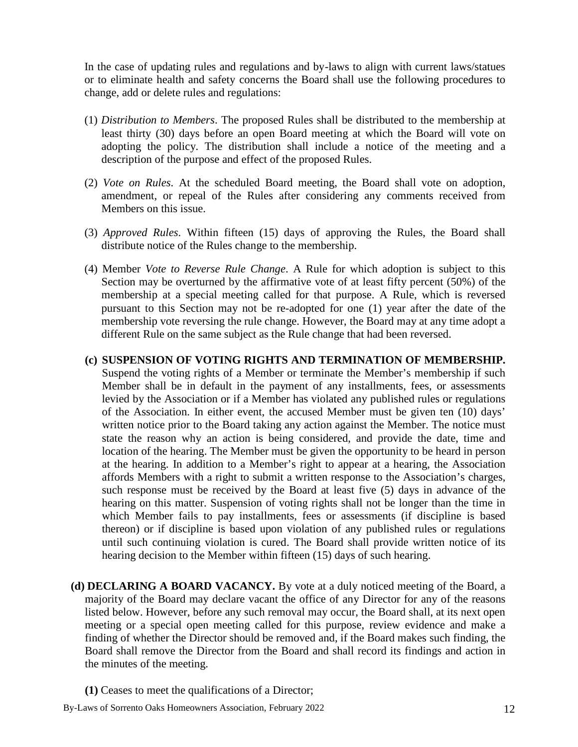In the case of updating rules and regulations and by-laws to align with current laws/statues or to eliminate health and safety concerns the Board shall use the following procedures to change, add or delete rules and regulations:

- (1) *Distribution to Members*. The proposed Rules shall be distributed to the membership at least thirty (30) days before an open Board meeting at which the Board will vote on adopting the policy. The distribution shall include a notice of the meeting and a description of the purpose and effect of the proposed Rules.
- (2) *Vote on Rules*. At the scheduled Board meeting, the Board shall vote on adoption, amendment, or repeal of the Rules after considering any comments received from Members on this issue.
- (3) *Approved Rules*. Within fifteen (15) days of approving the Rules, the Board shall distribute notice of the Rules change to the membership.
- (4) Member *Vote to Reverse Rule Change*. A Rule for which adoption is subject to this Section may be overturned by the affirmative vote of at least fifty percent (50%) of the membership at a special meeting called for that purpose. A Rule, which is reversed pursuant to this Section may not be re-adopted for one (1) year after the date of the membership vote reversing the rule change. However, the Board may at any time adopt a different Rule on the same subject as the Rule change that had been reversed.

#### **(c) SUSPENSION OF VOTING RIGHTS AND TERMINATION OF MEMBERSHIP.**

Suspend the voting rights of a Member or terminate the Member's membership if such Member shall be in default in the payment of any installments, fees, or assessments levied by the Association or if a Member has violated any published rules or regulations of the Association. In either event, the accused Member must be given ten (10) days' written notice prior to the Board taking any action against the Member. The notice must state the reason why an action is being considered, and provide the date, time and location of the hearing. The Member must be given the opportunity to be heard in person at the hearing. In addition to a Member's right to appear at a hearing, the Association affords Members with a right to submit a written response to the Association's charges, such response must be received by the Board at least five (5) days in advance of the hearing on this matter. Suspension of voting rights shall not be longer than the time in which Member fails to pay installments, fees or assessments (if discipline is based thereon) or if discipline is based upon violation of any published rules or regulations until such continuing violation is cured. The Board shall provide written notice of its hearing decision to the Member within fifteen (15) days of such hearing.

**(d) DECLARING A BOARD VACANCY.** By vote at a duly noticed meeting of the Board, a majority of the Board may declare vacant the office of any Director for any of the reasons listed below. However, before any such removal may occur, the Board shall, at its next open meeting or a special open meeting called for this purpose, review evidence and make a finding of whether the Director should be removed and, if the Board makes such finding, the Board shall remove the Director from the Board and shall record its findings and action in the minutes of the meeting.

**(1)** Ceases to meet the qualifications of a Director;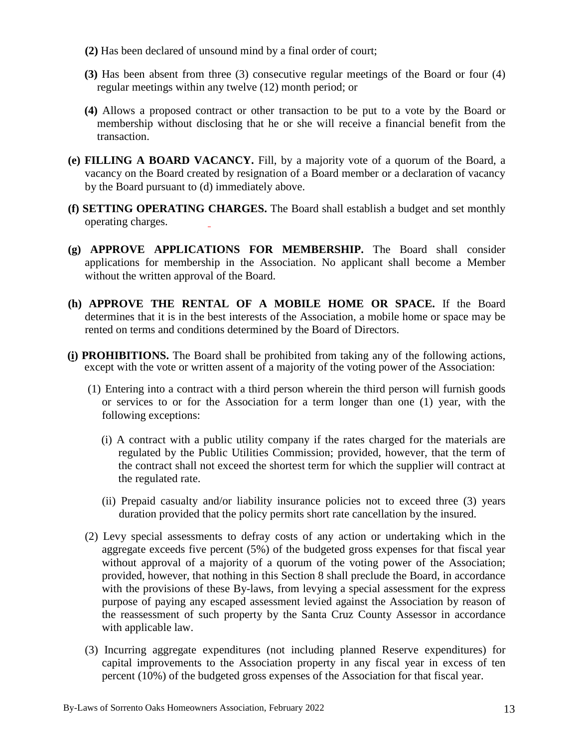- **(2)** Has been declared of unsound mind by a final order of court;
- **(3)** Has been absent from three (3) consecutive regular meetings of the Board orfour (4) regular meetings within any twelve (12) month period; or
- **(4)** Allows a proposed contract or other transaction to be put to a vote by the Board or membership without disclosing that he or she will receive a financial benefit from the transaction.
- **(e) FILLING A BOARD VACANCY.** Fill, by a majority vote of a quorum of the Board, a vacancy on the Board created by resignation of a Board member or a declaration of vacancy by the Board pursuant to (d) immediately above.
- **(f) SETTING OPERATING CHARGES.** The Board shall establish a budget and set monthly operating charges.
- **(g) APPROVE APPLICATIONS FOR MEMBERSHIP.** The Board shall consider applications for membership in the Association. No applicant shall become a Member without the written approval of the Board.
- **(h) APPROVE THE RENTAL OF A MOBILE HOME OR SPACE.** If the Board determines that it is in the best interests of the Association, a mobile home or space may be rented on terms and conditions determined by the Board of Directors.
- **(i) PROHIBITIONS.** The Board shall be prohibited from taking any of the following actions, except with the vote or written assent of a majority of the voting power of the Association:
	- (1) Entering into a contract with a third person wherein the third person will furnish goods or services to or for the Association for a term longer than one (1) year, with the following exceptions:
		- (i) A contract with a public utility company if the rates charged for the materials are regulated by the Public Utilities Commission; provided, however, that the term of the contract shall not exceed the shortest term for which the supplier will contract at the regulated rate.
		- (ii) Prepaid casualty and/or liability insurance policies not to exceed three (3) years duration provided that the policy permits short rate cancellation by the insured.
	- (2) Levy special assessments to defray costs of any action or undertaking which in the aggregate exceeds five percent (5%) of the budgeted gross expenses for that fiscal year without approval of a majority of a quorum of the voting power of the Association; provided, however, that nothing in this Section 8 shall preclude the Board, in accordance with the provisions of these By-laws, from levying a special assessment for the express purpose of paying any escaped assessment levied against the Association by reason of the reassessment of such property by the Santa Cruz County Assessor in accordance with applicable law.
	- (3) Incurring aggregate expenditures (not including planned Reserve expenditures) for capital improvements to the Association property in any fiscal year in excess of ten percent (10%) of the budgeted gross expenses of the Association for that fiscal year.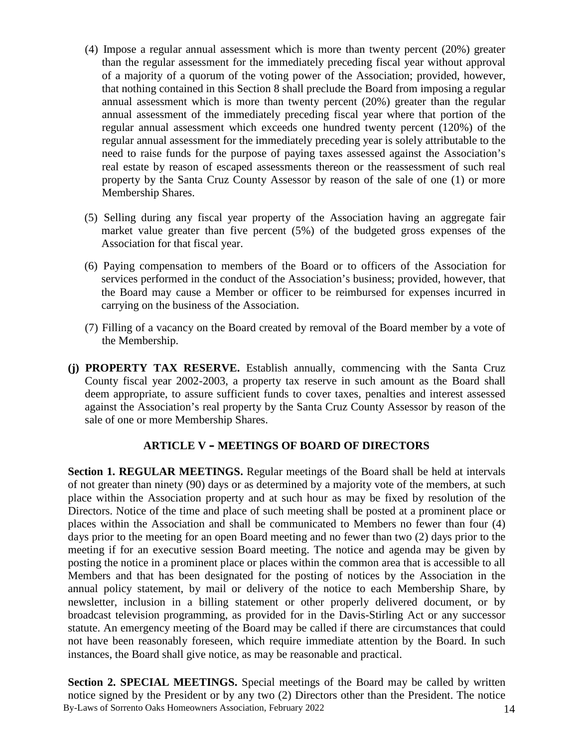- (4) Impose a regular annual assessment which is more than twenty percent (20%) greater than the regular assessment for the immediately preceding fiscal year without approval of a majority of a quorum of the voting power of the Association; provided, however, that nothing contained in this Section 8 shall preclude the Board from imposing a regular annual assessment which is more than twenty percent (20%) greater than the regular annual assessment of the immediately preceding fiscal year where that portion of the regular annual assessment which exceeds one hundred twenty percent (120%) of the regular annual assessment for the immediately preceding year is solely attributable to the need to raise funds for the purpose of paying taxes assessed against the Association's real estate by reason of escaped assessments thereon or the reassessment of such real property by the Santa Cruz County Assessor by reason of the sale of one (1) or more Membership Shares.
- (5) Selling during any fiscal year property of the Association having an aggregate fair market value greater than five percent (5%) of the budgeted gross expenses of the Association for that fiscal year.
- (6) Paying compensation to members of the Board orto officers of the Association for services performed in the conduct of the Association's business; provided, however, that the Board may cause a Member or officer to be reimbursed for expenses incurred in carrying on the business of the Association.
- (7) Filling of a vacancy on the Board created by removal of the Board member by a vote of the Membership.
- **(j) PROPERTY TAX RESERVE.** Establish annually, commencing with the Santa Cruz County fiscal year 2002-2003, a property tax reserve in such amount as the Board shall deem appropriate, to assure sufficient funds to cover taxes, penalties and interest assessed against the Association's real property by the Santa Cruz County Assessor by reason of the sale of one or more Membership Shares.

## **ARTICLE V – MEETINGS OF BOARD OF DIRECTORS**

**Section 1. REGULAR MEETINGS.** Regular meetings of the Board shall be held at intervals of not greater than ninety (90) days or as determined by a majority vote of the members, at such place within the Association property and at such hour as may be fixed by resolution of the Directors. Notice of the time and place of such meeting shall be posted at a prominent place or places within the Association and shall be communicated to Members no fewer than four (4) days prior to the meeting for an open Board meeting and no fewer than two (2) days prior to the meeting if for an executive session Board meeting. The notice and agenda may be given by posting the notice in a prominent place or places within the common area that is accessible to all Members and that has been designated for the posting of notices by the Association in the annual policy statement, by mail or delivery of the notice to each Membership Share, by newsletter, inclusion in a billing statement or other properly delivered document, or by broadcast television programming, as provided for in the Davis-Stirling Act or any successor statute. An emergency meeting of the Board may be called if there are circumstances that could not have been reasonably foreseen, which require immediate attention by the Board. In such instances, the Board shall give notice, as may be reasonable and practical.

By-Laws of Sorrento Oaks Homeowners Association, February 2022 14 **Section 2. SPECIAL MEETINGS.** Special meetings of the Board may be called by written notice signed by the President or by any two (2) Directors other than the President. The notice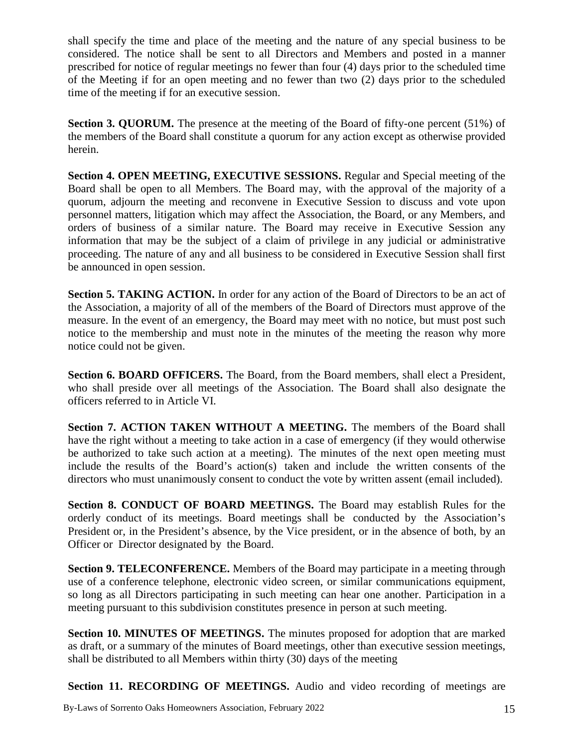shall specify the time and place of the meeting and the nature of any special business to be considered. The notice shall be sent to all Directors and Members and posted in a manner prescribed for notice of regular meetings no fewer than four (4) days prior to the scheduled time of the Meeting if for an open meeting and no fewer than two (2) days prior to the scheduled time of the meeting if for an executive session.

**Section 3. QUORUM.** The presence at the meeting of the Board of fifty-one percent (51%) of the members of the Board shall constitute a quorum for any action except as otherwise provided herein.

**Section 4. OPEN MEETING, EXECUTIVE SESSIONS.** Regular and Special meeting of the Board shall be open to all Members. The Board may, with the approval of the majority of a quorum, adjourn the meeting and reconvene in Executive Session to discuss and vote upon personnel matters, litigation which may affect the Association, the Board, or any Members, and orders of business of a similar nature. The Board may receive in Executive Session any information that may be the subject of a claim of privilege in any judicial or administrative proceeding. The nature of any and all business to be considered in Executive Session shall first be announced in open session.

**Section 5. TAKING ACTION.** In order for any action of the Board of Directors to be an act of the Association, a majority of all of the members of the Board of Directors must approve of the measure. In the event of an emergency, the Board may meet with no notice, but must post such notice to the membership and must note in the minutes of the meeting the reason why more notice could not be given.

**Section 6. BOARD OFFICERS.** The Board, from the Board members, shall elect a President, who shall preside over all meetings of the Association. The Board shall also designate the officers referred to in Article VI.

**Section 7. ACTION TAKEN WITHOUT A MEETING.** The members of the Board shall have the right without a meeting to take action in a case of emergency (if they would otherwise be authorized to take such action at a meeting). The minutes of the next open meeting must include the results of the Board's action(s) taken and include the written consents of the directors who must unanimously consent to conduct the vote by written assent (email included).

**Section 8. CONDUCT OF BOARD MEETINGS.** The Board may establish Rules for the orderly conduct of its meetings. Board meetings shall be conducted by the Association's President or, in the President's absence, by the Vice president, or in the absence of both, by an Officer or Director designated by the Board.

**Section 9. TELECONFERENCE.** Members of the Board may participate in a meeting through use of a conference telephone, electronic video screen, or similar communications equipment, so long as all Directors participating in such meeting can hear one another. Participation in a meeting pursuant to this subdivision constitutes presence in person at such meeting.

**Section 10. MINUTES OF MEETINGS.** The minutes proposed for adoption that are marked as draft, or a summary of the minutes of Board meetings, other than executive session meetings, shall be distributed to all Members within thirty (30) days of the meeting

**Section 11. RECORDING OF MEETINGS.** Audio and video recording of meetings are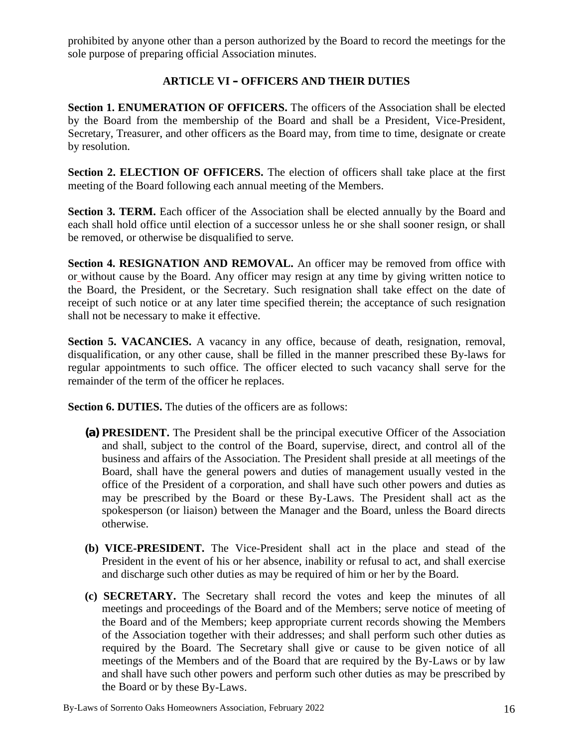prohibited by anyone other than a person authorized by the Board to record the meetings for the sole purpose of preparing official Association minutes.

## **ARTICLE VI – OFFICERS AND THEIR DUTIES**

**Section 1. ENUMERATION OF OFFICERS.** The officers of the Association shall be elected by the Board from the membership of the Board and shall be a President, Vice-President, Secretary, Treasurer, and other officers as the Board may, from time to time, designate or create by resolution.

**Section 2. ELECTION OF OFFICERS.** The election of officers shall take place at the first meeting of the Board following each annual meeting of the Members.

**Section 3. TERM.** Each officer of the Association shall be elected annually by the Board and each shall hold office until election of a successor unless he or she shall sooner resign, or shall be removed, or otherwise be disqualified to serve.

**Section 4. RESIGNATION AND REMOVAL.** An officer may be removed from office with or without cause by the Board. Any officer may resign at any time by giving written notice to the Board, the President, or the Secretary. Such resignation shall take effect on the date of receipt of such notice or at any later time specified therein; the acceptance of such resignation shall not be necessary to make it effective.

**Section 5. VACANCIES.** A vacancy in any office, because of death, resignation, removal, disqualification, or any other cause, shall be filled in the manner prescribed these By-laws for regular appointments to such office. The officer elected to such vacancy shall serve for the remainder of the term of the officer he replaces.

**Section 6. DUTIES.** The duties of the officers are as follows:

- **(a) PRESIDENT.** The President shall be the principal executive Officer of the Association and shall, subject to the control of the Board, supervise, direct, and control all of the business and affairs of the Association. The President shall preside at all meetings of the Board, shall have the general powers and duties of management usually vested in the office of the President of a corporation, and shall have such other powers and duties as may be prescribed by the Board or these By-Laws. The President shall act as the spokesperson (or liaison) between the Manager and the Board, unless the Board directs otherwise.
- **(b) VICE-PRESIDENT.** The Vice-President shall act in the place and stead of the President in the event of his or her absence, inability or refusal to act, and shall exercise and discharge such other duties as may be required of him or her by the Board.
- **(c) SECRETARY.** The Secretary shall record the votes and keep the minutes of all meetings and proceedings of the Board and of the Members; serve notice of meeting of the Board and of the Members; keep appropriate current records showing the Members of the Association together with their addresses; and shall perform such other duties as required by the Board. The Secretary shall give or cause to be given notice of all meetings of the Members and of the Board that are required by the By-Laws or by law and shall have such other powers and perform such other duties as may be prescribed by the Board or by these By-Laws.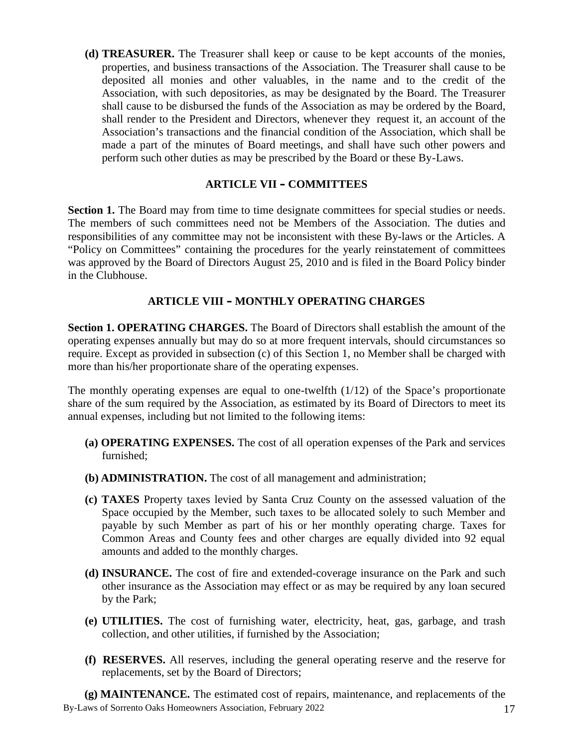**(d) TREASURER.** The Treasurer shall keep or cause to be kept accounts of the monies, properties, and business transactions of the Association. The Treasurer shall cause to be deposited allmonies and other valuables, in the name and to the credit of the Association, with such depositories, as may be designated by the Board. The Treasurer shall cause to be disbursed the funds of the Association as may be ordered by the Board, shall render to the President and Directors, whenever they request it, an account of the Association's transactions and the financial condition of the Association, which shall be made a part of the minutes of Board meetings, and shall have such other powers and perform such other duties as may be prescribed by the Board or these By-Laws.

#### **ARTICLE VII – COMMITTEES**

**Section 1.** The Board may from time to time designate committees for special studies or needs. The members of such committees need not be Members of the Association. The duties and responsibilities of any committee may not be inconsistent with these By-laws or the Articles. A "Policy on Committees" containing the procedures for the yearly reinstatement of committees was approved by the Board of Directors August 25, 2010 and is filed in the Board Policy binder in the Clubhouse.

#### **ARTICLE VIII – MONTHLY OPERATING CHARGES**

**Section 1. OPERATING CHARGES.** The Board of Directors shall establish the amount of the operating expenses annually but may do so at more frequent intervals, should circumstances so require. Except as provided in subsection (c) of this Section 1, no Member shall be charged with more than his/her proportionate share of the operating expenses.

The monthly operating expenses are equal to one-twelfth  $(1/12)$  of the Space's proportionate share of the sum required by the Association, as estimated by its Board of Directors to meet its annual expenses, including but not limited to the following items:

- **(a) OPERATING EXPENSES.** The cost of all operation expenses of the Park and services furnished;
- **(b) ADMINISTRATION.** The cost of all management and administration;
- **(c) TAXES** Property taxes levied by Santa Cruz County on the assessed valuation of the Space occupied by the Member, such taxes to be allocated solely to such Member and payable by such Member as part of his or her monthly operating charge. Taxes for Common Areas and County fees and other charges are equally divided into 92 equal amounts and added to the monthly charges.
- **(d) INSURANCE.** The cost of fire and extended-coverage insurance on the Park and such other insurance as the Association may effect or as may be required by any loan secured by the Park;
- **(e) UTILITIES.** The cost of furnishing water, electricity, heat, gas, garbage, and trash collection, and other utilities, if furnished by the Association;
- **(f) RESERVES.** All reserves, including the general operating reserve and the reserve for replacements, set by the Board of Directors;

By-Laws of Sorrento Oaks Homeowners Association, February 2022 17 **(g) MAINTENANCE.** The estimated cost of repairs, maintenance, and replacements of the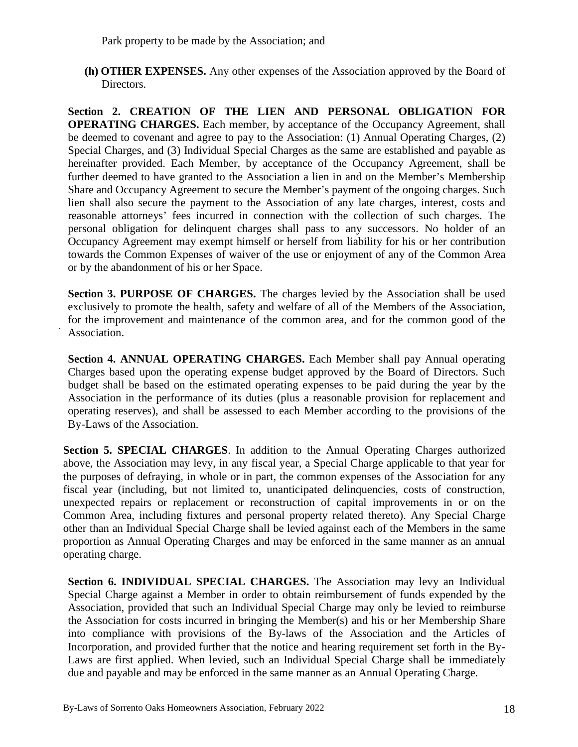Park property to be made by the Association; and

**(h) OTHER EXPENSES.** Any other expenses of the Association approved by the Board of Directors.

**Section 2. CREATION OF THE LIEN AND PERSONAL OBLIGATION FOR OPERATING CHARGES.** Each member, by acceptance of the Occupancy Agreement, shall be deemed to covenant and agree to pay to the Association: (1) Annual Operating Charges, (2) Special Charges, and (3) Individual Special Charges as the same are established and payable as hereinafter provided. Each Member, by acceptance of the Occupancy Agreement, shall be further deemed to have granted to the Association a lien in and on the Member's Membership Share and Occupancy Agreement to secure the Member's payment of the ongoing charges. Such lien shall also secure the payment to the Association of any late charges, interest, costs and reasonable attorneys' fees incurred in connection with the collection of such charges. The personal obligation for delinquent charges shall pass to any successors. No holder of an Occupancy Agreement may exempt himself or herself from liability for his or her contribution towards the Common Expenses of waiver of the use or enjoyment of any of the Common Area or by the abandonment of his or her Space.

**Section 3. PURPOSE OF CHARGES.** The charges levied by the Association shall be used exclusively to promote the health, safety and welfare of all of the Members of the Association, for the improvement and maintenance of the common area, and for the common good of the Association.

**Section 4. ANNUAL OPERATING CHARGES.** Each Member shall pay Annual operating Charges based upon the operating expense budget approved by the Board of Directors. Such budget shall be based on the estimated operating expenses to be paid during the year by the Association in the performance of its duties (plus a reasonable provision for replacement and operating reserves), and shall be assessed to each Member according to the provisions of the By-Laws of the Association.

**Section 5. SPECIAL CHARGES**. In addition to the Annual Operating Charges authorized above, the Association may levy, in any fiscal year, a Special Charge applicable to that year for the purposes of defraying, in whole or in part, the common expenses of the Association for any fiscal year (including, but not limited to, unanticipated delinquencies, costs of construction, unexpected repairs or replacement or reconstruction of capital improvements in or on the Common Area, including fixtures and personal property related thereto). Any Special Charge other than an Individual Special Charge shall be levied against each of the Members in the same proportion as Annual Operating Charges and may be enforced in the same manner as an annual operating charge.

**Section 6. INDIVIDUAL SPECIAL CHARGES.** The Association may levy an Individual Special Charge against a Member in order to obtain reimbursement of funds expended by the Association, provided that such an Individual Special Charge may only be levied to reimburse the Association for costs incurred in bringing the Member(s) and his or her Membership Share into compliance with provisions of the By-laws of the Association and the Articles of Incorporation, and provided further that the notice and hearing requirement set forth in the By- Laws are first applied. When levied, such an Individual Special Charge shall be immediately due and payable and may be enforced in the same manner as an Annual Operating Charge.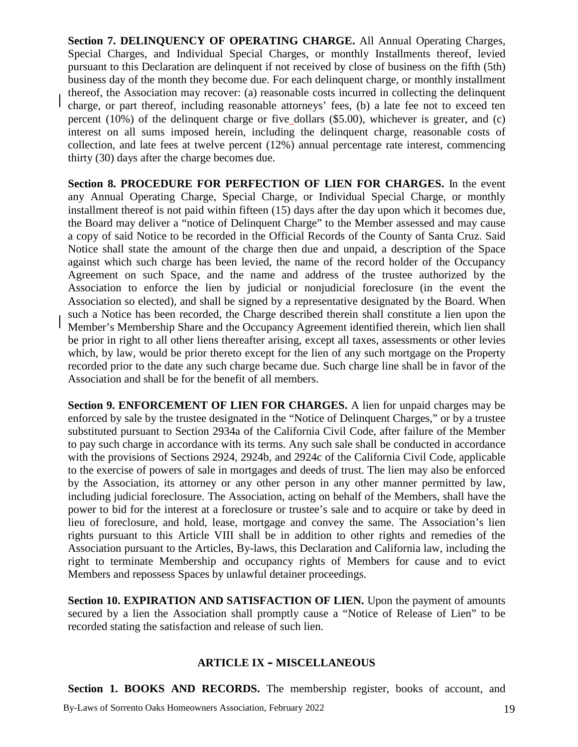**Section 7. DELINQUENCY OF OPERATING CHARGE.** All Annual Operating Charges, Special Charges, and Individual Special Charges, or monthly Installments thereof, levied pursuant to this Declaration are delinquent if not received by close of business on the fifth (5th) business day of the month they become due. For each delinquent charge, or monthly installment thereof, the Association may recover: (a) reasonable costs incurred in collecting the delinquent charge, or part thereof, including reasonable attorneys' fees, (b) a late fee not to exceed ten percent (10%) of the delinquent charge or five dollars (\$5.00), whichever is greater, and (c) interest on all sums imposed herein, including the delinquent charge, reasonable costs of collection, and late fees at twelve percent (12%) annual percentage rate interest, commencing thirty (30) days after the charge becomes due.

**Section 8. PROCEDURE FOR PERFECTION OF LIEN FOR CHARGES.** In the event any Annual Operating Charge, Special Charge, or Individual Special Charge, or monthly installment thereof is not paid within fifteen (15) days after the day upon which it becomes due, the Board may deliver a "notice of Delinquent Charge" to the Member assessed and may cause a copy of said Notice to be recorded in the Official Records of the County of Santa Cruz. Said Notice shall state the amount of the charge then due and unpaid, a description of the Space against which such charge has been levied, the name of the record holder of the Occupancy Agreement on such Space, and the name and address of the trustee authorized by the Association to enforce the lien by judicial or nonjudicial foreclosure (in the event the Association so elected), and shall be signed by a representative designated by the Board. When such a Notice has been recorded, the Charge described therein shall constitute a lien upon the Member's Membership Share and the Occupancy Agreement identified therein, which lien shall be prior in right to all other liens thereafter arising, except all taxes, assessments or other levies which, by law, would be prior thereto except for the lien of any such mortgage on the Property recorded prior to the date any such charge became due. Such charge line shall be in favor of the Association and shall be for the benefit of all members.

**Section 9. ENFORCEMENT OF LIEN FOR CHARGES.** A lien for unpaid charges may be enforced by sale by the trustee designated in the "Notice of Delinquent Charges," or by a trustee substituted pursuant to Section 2934a of the California Civil Code, after failure of the Member to pay such charge in accordance with its terms. Any such sale shall be conducted in accordance with the provisions of Sections 2924, 2924b, and 2924c of the California Civil Code, applicable to the exercise of powers of sale in mortgages and deeds of trust. The lien may also be enforced by the Association, its attorney orany other person in any other manner permitted by law, including judicial foreclosure. The Association, acting on behalf of the Members, shall have the power to bid for the interest at a foreclosure or trustee's sale and to acquire or take by deed in lieu of foreclosure, and hold, lease, mortgage and convey the same. The Association's lien rights pursuant to this Article VIII shall be in addition to other rights and remedies of the Association pursuant to the Articles, By-laws, this Declaration and California law, including the right to terminate Membership and occupancy rights of Members for cause and to evict Members and repossess Spaces by unlawful detainer proceedings.

**Section 10. EXPIRATION AND SATISFACTION OF LIEN.** Upon the payment of amounts secured by a lien the Association shall promptly cause a "Notice of Release of Lien" to be recorded stating the satisfaction and release of such lien.

#### **ARTICLE IX – MISCELLANEOUS**

**Section 1. BOOKS AND RECORDS.** The membership register, books of account, and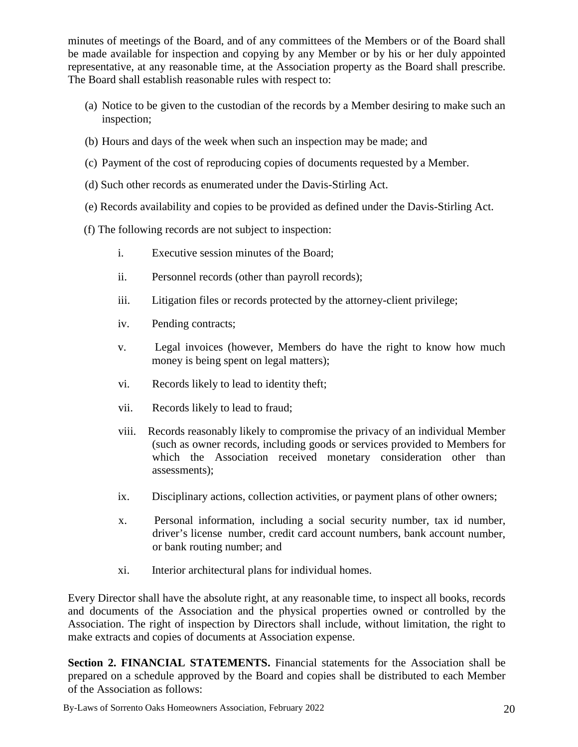minutes of meetings of the Board, and of any committees of the Members or of the Board shall be made available for inspection and copying by any Member or by his or her duly appointed representative, at any reasonable time, at the Association property as the Board shall prescribe. The Board shall establish reasonable rules with respect to:

- (a) Notice to be given to the custodian of the records by a Member desiring to make such an inspection;
- (b) Hours and days of the week when such an inspection may be made; and
- (c) Payment of the cost of reproducing copies of documents requested by a Member.
- (d) Such other records as enumerated under the Davis-Stirling Act.
- (e) Records availability and copies to be provided as defined under the Davis-Stirling Act.
- (f) The following records are not subject to inspection:
	- i. Executive session minutes of the Board;
	- ii. Personnel records (other than payroll records);
	- iii. Litigation files or records protected by the attorney-client privilege;
	- iv. Pending contracts;
	- v. Legal invoices (however, Members do have the right to know how much money is being spent on legal matters);
	- vi. Records likely to lead to identity theft;
	- vii. Records likely to lead to fraud;
	- viii. Records reasonably likely to compromise the privacy of an individual Member (such as owner records, including goods or services provided to Members for which the Association received monetary consideration other than assessments);
	- ix. Disciplinary actions, collection activities, or payment plans of other owners;
	- x. Personal information, including a social security number, tax id number, driver's license number, credit card account numbers, bank account number, or bank routing number; and
	- xi. Interior architectural plans for individual homes.

Every Director shall have the absolute right, at any reasonable time, to inspect all books, records and documents of the Association and the physical properties owned or controlled by the Association. The right of inspection by Directors shall include, without limitation, the right to make extracts and copies of documents at Association expense.

**Section 2. FINANCIAL STATEMENTS.** Financial statements for the Association shall be prepared on a schedule approved by the Board and copies shall be distributed to each Member of the Association as follows: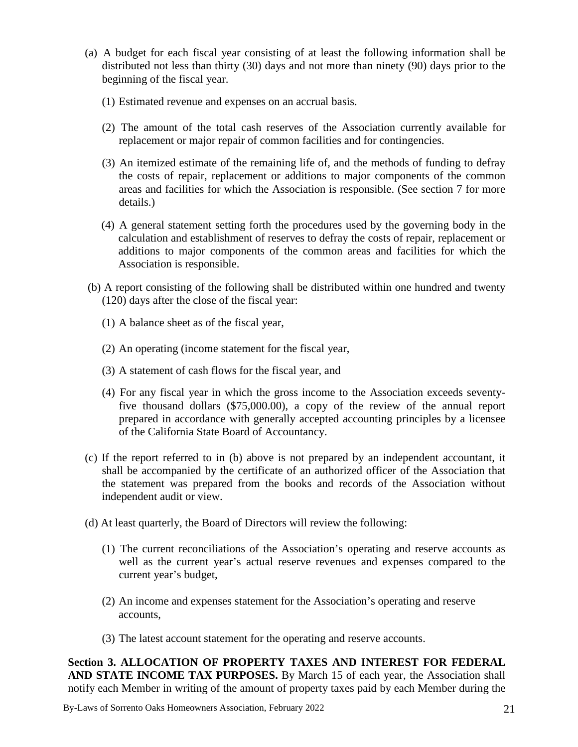- (a) A budget for each fiscal year consisting of at least the following information shall be distributed not less than thirty (30) days and not more than ninety (90) days prior to the beginning of the fiscal year.
	- (1) Estimated revenue and expenses on an accrual basis.
	- (2) The amount of the total cash reserves of the Association currently available for replacement or major repair of common facilities and for contingencies.
	- (3) An itemized estimate of the remaining life of, and the methods of funding to defray the costs of repair, replacement or additions to major components of the common areas and facilities for which the Association is responsible. (See section 7 for more details.)
	- (4) A general statement setting forth the procedures used by the governing body in the calculation and establishment of reserves to defray the costs of repair, replacement or additions to major components of the common areas and facilities for which the Association is responsible.
- (b) A report consisting of the following shall be distributed within one hundred and twenty (120) days after the close of the fiscal year:
	- (1) A balance sheet as of the fiscal year,
	- (2) An operating (income statement for the fiscal year,
	- (3) A statement of cash flows for the fiscal year, and
	- (4) For any fiscal year in which the gross income to the Association exceeds seventyfive thousand dollars (\$75,000.00), a copy of the review of the annual report prepared in accordance with generally accepted accounting principles by a licensee of the California State Board of Accountancy.
- (c) If the report referred to in (b) above is not prepared by an independent accountant, it shall be accompanied by the certificate of an authorized officer of the Association that the statement was prepared from the books and records of the Association without independent audit or view.
- (d) At least quarterly, the Board of Directors will review the following:
	- (1) The current reconciliations of the Association's operating and reserve accounts as well as the current year's actual reserve revenues and expenses compared to the current year's budget,
	- (2) An income and expenses statement for the Association's operating and reserve accounts,
	- (3) The latest account statement for the operating and reserve accounts.

**Section 3. ALLOCATION OF PROPERTY TAXES AND INTEREST FOR FEDERAL AND STATE INCOME TAX PURPOSES.** By March 15 of each year, the Association shall notify each Member in writing of the amount of property taxes paid by each Member during the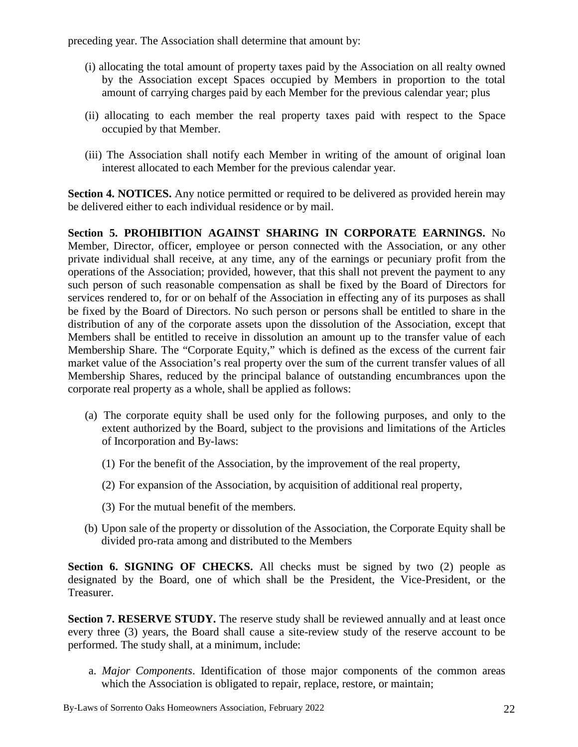preceding year. The Association shall determine that amount by:

- (i) allocating the total amount of property taxes paid by the Association on all realty owned by the Association except Spaces occupied by Members in proportion to the total amount of carrying charges paid by each Member for the previous calendar year; plus
- (ii) allocating to each member the real property taxes paid with respect to the Space occupied by that Member.
- (iii) The Association shall notify each Member in writing of the amount of original loan interest allocated to each Member for the previous calendar year.

**Section 4. NOTICES.** Any notice permitted or required to be delivered as provided herein may be delivered either to each individual residence or by mail.

**Section 5. PROHIBITION AGAINST SHARING IN CORPORATE EARNINGS.** No Member, Director, officer, employee or person connected with the Association, or any other private individual shall receive, at any time, any of the earnings or pecuniary profit from the operations of the Association; provided, however, that this shall not prevent the payment to any such person of such reasonable compensation as shall be fixed by the Board of Directors for services rendered to, for or on behalf of the Association in effecting any of its purposes as shall be fixed by the Board of Directors. No such person or persons shall be entitled to share in the distribution of any of the corporate assets upon the dissolution of the Association, except that Members shall be entitled to receive in dissolution an amount up to the transfer value of each Membership Share. The "Corporate Equity," which is defined as the excess of the current fair market value of the Association's real property over the sum of the current transfer values of all Membership Shares, reduced by the principal balance of outstanding encumbrances upon the corporate real property as a whole, shall be applied as follows:

- (a) The corporate equity shall be used only for the following purposes, and only to the extent authorized by the Board, subject to the provisions and limitations of the Articles of Incorporation and By-laws:
	- (1) For the benefit of the Association, by the improvement of the real property,
	- (2) For expansion of the Association, by acquisition of additional real property,
	- (3) For the mutual benefit of the members.
- (b) Upon sale of the property or dissolution of the Association, the Corporate Equity shall be divided pro-rata among and distributed to the Members

**Section 6. SIGNING OF CHECKS.** All checks must be signed by two (2) people as designated by the Board, one of which shall be the President, the Vice-President, or the Treasurer.

**Section 7. RESERVE STUDY.** The reserve study shall be reviewed annually and at least once every three (3) years, the Board shall cause a site-review study of the reserve account to be performed. The study shall, at a minimum, include:

a. *Major Components*. Identification of those major components of the common areas which the Association is obligated to repair, replace, restore, or maintain;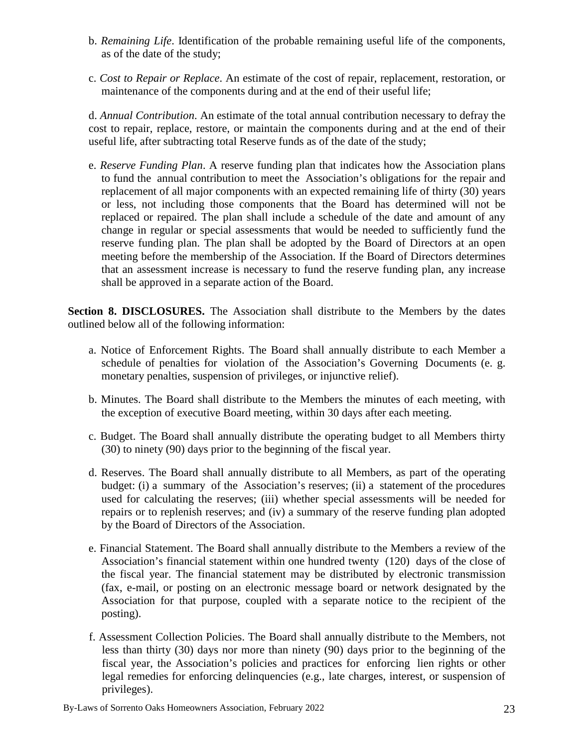- b. *Remaining Life*. Identification of the probable remaining useful life of the components, as of the date of the study;
- c. *Cost to Repair or Replace*. An estimate of the cost of repair, replacement, restoration, or maintenance of the components during and at the end of their useful life;

d. *Annual Contribution*. An estimate of the total annual contribution necessary to defray the cost to repair, replace, restore, or maintain the components during and at the end of their useful life, after subtracting total Reserve funds as of the date of the study;

e. *Reserve Funding Plan*. A reserve funding plan that indicates how the Association plans to fund the annual contribution to meet the Association's obligations for the repair and replacement of all major components with an expected remaining life of thirty (30) years or less, not including those components that the Board has determined will not be replaced or repaired. The plan shall include a schedule of the date and amount of any change in regular or special assessments that would be needed to sufficiently fund the reserve funding plan. The plan shall be adopted by the Board of Directors at an open meeting before the membership of the Association. If the Board of Directors determines that an assessment increase is necessary to fund the reserve funding plan, any increase shall be approved in a separate action of the Board.

**Section 8. DISCLOSURES.** The Association shall distribute to the Members by the dates outlined below all of the following information:

- a. Notice of Enforcement Rights. The Board shall annually distribute to each Member a schedule of penalties for violation of the Association's Governing Documents (e. g. monetary penalties, suspension of privileges, or injunctive relief).
- b. Minutes. The Board shall distribute to the Members the minutes of each meeting, with the exception of executive Board meeting, within 30 days after each meeting.
- c. Budget. The Board shall annually distribute the operating budget to all Members thirty (30) to ninety (90) days prior to the beginning of the fiscal year.
- d. Reserves. The Board shall annually distribute to all Members, as part of the operating budget: (i) a summary of the Association's reserves; (ii) a statement of the procedures used for calculating the reserves; (iii) whether special assessments will be needed for repairs or to replenish reserves; and (iv) a summary of the reserve funding plan adopted by the Board of Directors of the Association.
- e. Financial Statement. The Board shall annually distribute to the Members a review of the Association's financial statement within one hundred twenty (120) days of the close of the fiscal year. The financial statement may be distributed by electronic transmission (fax, e-mail, or posting on an electronic message board or network designated by the Association for that purpose, coupled with a separate notice to the recipient of the posting).
- f. Assessment Collection Policies. The Board shall annually distribute to the Members, not less than thirty (30) days nor more than ninety (90) days prior to the beginning of the fiscal year, the Association's policies and practices for enforcing lien rights or other legal remedies for enforcing delinquencies (e.g., late charges, interest, or suspension of privileges).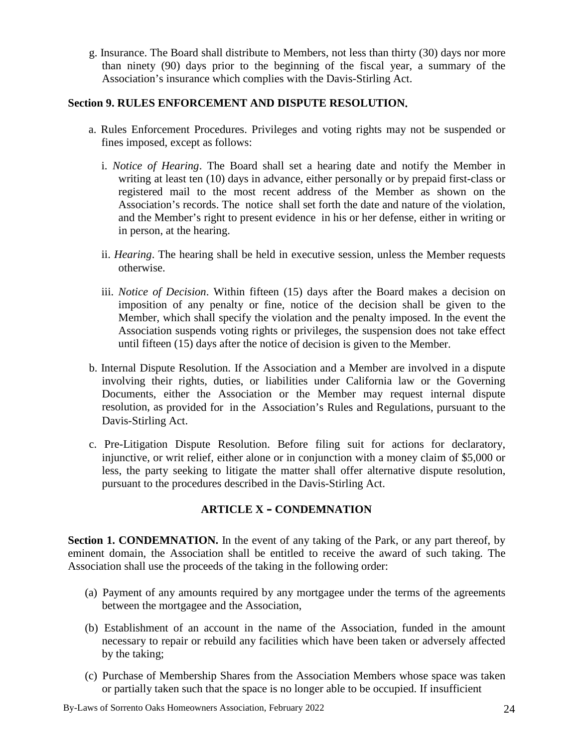g. Insurance. The Board shall distribute to Members, not less than thirty (30) days nor more than ninety (90) days prior to the beginning of the fiscal year, a summary of the Association's insurance which complies with the Davis-Stirling Act.

## **Section 9. RULES ENFORCEMENT AND DISPUTE RESOLUTION.**

- a. Rules Enforcement Procedures. Privileges and voting rights may not be suspended or fines imposed, except as follows:
	- i. *Notice of Hearing*. The Board shall set a hearing date and notify the Member in writing at least ten (10) days in advance, either personally or by prepaid first-class or registered mail to the most recent address of the Member as shown on the Association's records. The notice shall set forth the date and nature of the violation, and the Member's right to present evidence in his or her defense, either in writing or in person, at the hearing.
	- ii. *Hearing*. The hearing shall be held in executive session, unless the Member requests otherwise.
	- iii. *Notice of Decision*. Within fifteen (15) days after the Board makes a decision on imposition of any penalty or fine, notice of the decision shall be given to the Member, which shall specify the violation and the penalty imposed. In the event the Association suspends voting rights or privileges, the suspension does not take effect until fifteen (15) days after the notice of decision is given to the Member.
- b. Internal Dispute Resolution. If the Association and a Member are involved in a dispute involving their rights, duties, or liabilities under California law or the Governing Documents, either the Association or the Member may request internal dispute resolution, as provided for in the Association's Rules and Regulations, pursuant to the Davis-Stirling Act.
- c. Pre-Litigation Dispute Resolution. Before filing suit for actions for declaratory, injunctive, or writ relief, either alone or in conjunction with a money claim of \$5,000 or less, the party seeking to litigate the matter shall offer alternative dispute resolution, pursuant to the procedures described in the Davis-Stirling Act.

## **ARTICLE X – CONDEMNATION**

**Section 1. CONDEMNATION.** In the event of any taking of the Park, or any part thereof, by eminent domain, the Association shall be entitled to receive the award of such taking. The Association shall use the proceeds of the taking in the following order:

- (a) Payment of any amounts required by any mortgagee under the terms of the agreements between the mortgagee and the Association,
- (b) Establishment of an account in the name of the Association, funded in the amount necessary to repair or rebuild any facilities which have been taken or adversely affected by the taking;
- (c) Purchase of Membership Shares from the Association Members whose space was taken or partially taken such that the space is no longer able to be occupied. If insufficient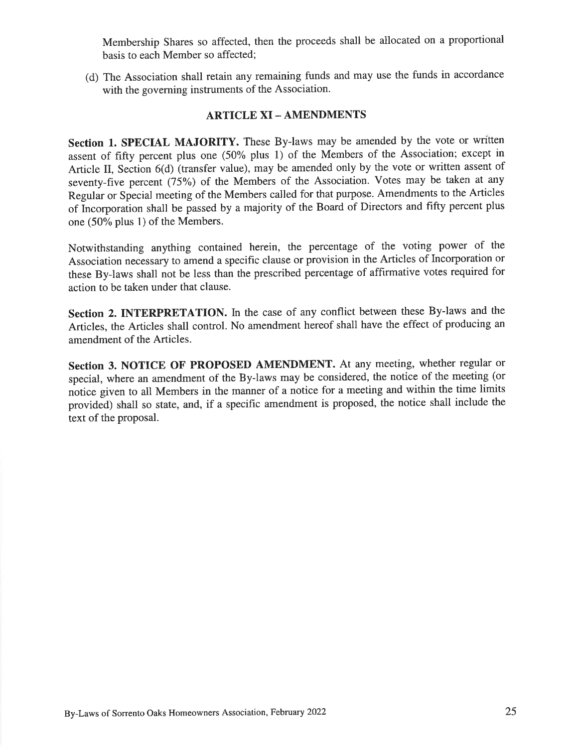Membership Shares so affected, then the proceeds shall be allocated on a proportional basis to each Member so affected:

(d) The Association shall retain any remaining funds and may use the funds in accordance with the governing instruments of the Association.

#### **ARTICLE XI - AMENDMENTS**

Section 1. SPECIAL MAJORITY. These By-laws may be amended by the vote or written assent of fifty percent plus one (50% plus 1) of the Members of the Association; except in Article II, Section 6(d) (transfer value), may be amended only by the vote or written assent of seventy-five percent (75%) of the Members of the Association. Votes may be taken at any Regular or Special meeting of the Members called for that purpose. Amendments to the Articles of Incorporation shall be passed by a majority of the Board of Directors and fifty percent plus one (50% plus 1) of the Members.

Notwithstanding anything contained herein, the percentage of the voting power of the Association necessary to amend a specific clause or provision in the Articles of Incorporation or these By-laws shall not be less than the prescribed percentage of affirmative votes required for action to be taken under that clause.

Section 2. INTERPRETATION. In the case of any conflict between these By-laws and the Articles, the Articles shall control. No amendment hereof shall have the effect of producing an amendment of the Articles.

Section 3. NOTICE OF PROPOSED AMENDMENT. At any meeting, whether regular or special, where an amendment of the By-laws may be considered, the notice of the meeting (or notice given to all Members in the manner of a notice for a meeting and within the time limits provided) shall so state, and, if a specific amendment is proposed, the notice shall include the text of the proposal.